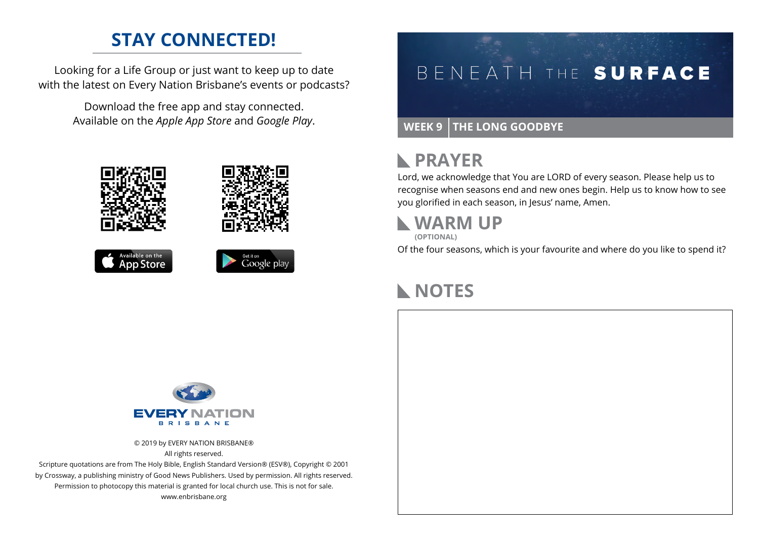### **STAY CONNECTED!**

Looking for a Life Group or just want to keep up to date with the latest on Every Nation Brisbane's events or podcasts?

> Download the free app and stay connected. Available on the *Apple App Store* and *Google Play*.









# BENEATH THE SURFACE

#### **WEEK 9 THE LONG GOODBYE**

#### **RAYER**

Lord, we acknowledge that You are LORD of every season. Please help us to recognise when seasons end and new ones begin. Help us to know how to see you glorified in each season, in Jesus' name, Amen.

### **WARM UP**

**(OPTIONAL)**

Of the four seasons, which is your favourite and where do you like to spend it?

# **NOTES**



© 2019 by EVERY NATION BRISBANE® All rights reserved.

Scripture quotations are from The Holy Bible, English Standard Version® (ESV®), Copyright © 2001 by Crossway, a publishing ministry of Good News Publishers. Used by permission. All rights reserved. Permission to photocopy this material is granted for local church use. This is not for sale. www.enbrisbane.org